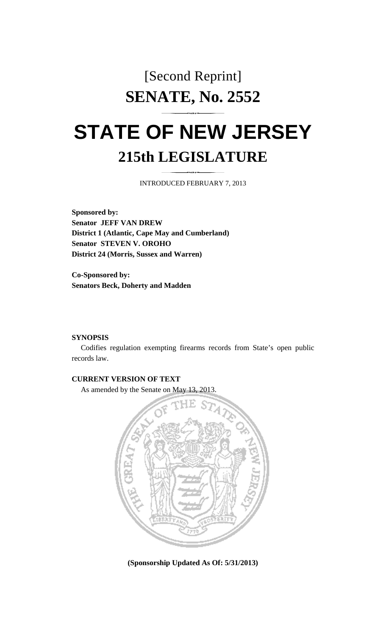## [Second Reprint] **SENATE, No. 2552**

# **STATE OF NEW JERSEY 215th LEGISLATURE**

INTRODUCED FEBRUARY 7, 2013

**Sponsored by: Senator JEFF VAN DREW District 1 (Atlantic, Cape May and Cumberland) Senator STEVEN V. OROHO District 24 (Morris, Sussex and Warren)** 

**Co-Sponsored by: Senators Beck, Doherty and Madden** 

#### **SYNOPSIS**

 Codifies regulation exempting firearms records from State's open public records law.

#### **CURRENT VERSION OF TEXT**

As amended by the Senate on May 13, 2013.



**(Sponsorship Updated As Of: 5/31/2013)**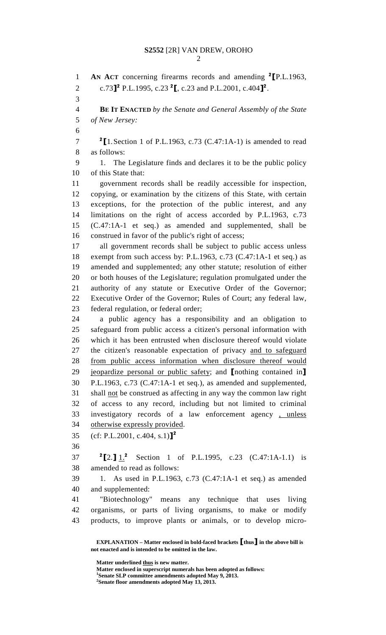### **S2552** [2R] VAN DREW, OROHO

2

1 **AN ACT** concerning firearms records and amending <sup>2</sup> [P.L.1963, 2 c.73<sup>2</sup> P.L.1995, c.23<sup>2</sup>, c.23 and P.L.2001, c.404<sup>2</sup>. 3 4 **BE IT ENACTED** *by the Senate and General Assembly of the State*  5 *of New Jersey:* 6  $7 \t2$  [1. Section 1 of P.L.1963, c.73 (C.47:1A-1) is amended to read 8 as follows: 9 1. The Legislature finds and declares it to be the public policy 10 of this State that: 11 government records shall be readily accessible for inspection, 12 copying, or examination by the citizens of this State, with certain 13 exceptions, for the protection of the public interest, and any 14 limitations on the right of access accorded by P.L.1963, c.73 15 (C.47:1A-1 et seq.) as amended and supplemented, shall be 16 construed in favor of the public's right of access; 17 all government records shall be subject to public access unless 18 exempt from such access by: P.L.1963, c.73 (C.47:1A-1 et seq.) as 19 amended and supplemented; any other statute; resolution of either 20 or both houses of the Legislature; regulation promulgated under the 21 authority of any statute or Executive Order of the Governor; 22 Executive Order of the Governor; Rules of Court; any federal law, 23 federal regulation, or federal order; 24 a public agency has a responsibility and an obligation to 25 safeguard from public access a citizen's personal information with 26 which it has been entrusted when disclosure thereof would violate 27 the citizen's reasonable expectation of privacy and to safeguard 28 from public access information when disclosure thereof would 29 jeopardize personal or public safety; and [nothing contained in] 30 P.L.1963, c.73 (C.47:1A-1 et seq.), as amended and supplemented, 31 shall not be construed as affecting in any way the common law right 32 of access to any record, including but not limited to criminal 33 investigatory records of a law enforcement agency , unless 34 otherwise expressly provided. 35 (cf: P.L.2001, c.404, s.1)]<sup>2</sup> 36 37  ${}^{2}$ [2.]  $1.^{2}$  Section 1 of P.L.1995, c.23 (C.47:1A-1.1) is 38 amended to read as follows: 39 1. As used in P.L.1963, c.73 (C.47:1A-1 et seq.) as amended 40 and supplemented: 41 "Biotechnology" means any technique that uses living 42 organisms, or parts of living organisms, to make or modify 43 products, to improve plants or animals, or to develop micro-

 **EXPLANATION – Matter enclosed in bold-faced brackets** [**thus**] **in the above bill is not enacted and is intended to be omitted in the law.** 

**Matter underlined thus is new matter.** 

 **Matter enclosed in superscript numerals has been adopted as follows: 1**

**Senate SLP committee amendments adopted May 9, 2013.** 

**2 Senate floor amendments adopted May 13, 2013.**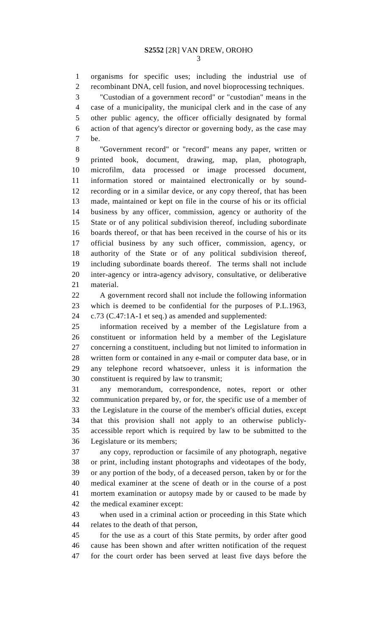1 organisms for specific uses; including the industrial use of 2 recombinant DNA, cell fusion, and novel bioprocessing techniques.

3 "Custodian of a government record" or "custodian" means in the 4 case of a municipality, the municipal clerk and in the case of any 5 other public agency, the officer officially designated by formal 6 action of that agency's director or governing body, as the case may 7 be.

8 "Government record" or "record" means any paper, written or 9 printed book, document, drawing, map, plan, photograph, 10 microfilm, data processed or image processed document, 11 information stored or maintained electronically or by sound-12 recording or in a similar device, or any copy thereof, that has been 13 made, maintained or kept on file in the course of his or its official 14 business by any officer, commission, agency or authority of the 15 State or of any political subdivision thereof, including subordinate 16 boards thereof, or that has been received in the course of his or its 17 official business by any such officer, commission, agency, or 18 authority of the State or of any political subdivision thereof, 19 including subordinate boards thereof. The terms shall not include 20 inter-agency or intra-agency advisory, consultative, or deliberative 21 material.

22 A government record shall not include the following information 23 which is deemed to be confidential for the purposes of P.L.1963, 24 c.73 (C.47:1A-1 et seq.) as amended and supplemented:

25 information received by a member of the Legislature from a 26 constituent or information held by a member of the Legislature 27 concerning a constituent, including but not limited to information in 28 written form or contained in any e-mail or computer data base, or in 29 any telephone record whatsoever, unless it is information the 30 constituent is required by law to transmit;

31 any memorandum, correspondence, notes, report or other 32 communication prepared by, or for, the specific use of a member of 33 the Legislature in the course of the member's official duties, except 34 that this provision shall not apply to an otherwise publicly-35 accessible report which is required by law to be submitted to the 36 Legislature or its members;

37 any copy, reproduction or facsimile of any photograph, negative 38 or print, including instant photographs and videotapes of the body, 39 or any portion of the body, of a deceased person, taken by or for the 40 medical examiner at the scene of death or in the course of a post 41 mortem examination or autopsy made by or caused to be made by 42 the medical examiner except:

43 when used in a criminal action or proceeding in this State which 44 relates to the death of that person,

45 for the use as a court of this State permits, by order after good 46 cause has been shown and after written notification of the request 47 for the court order has been served at least five days before the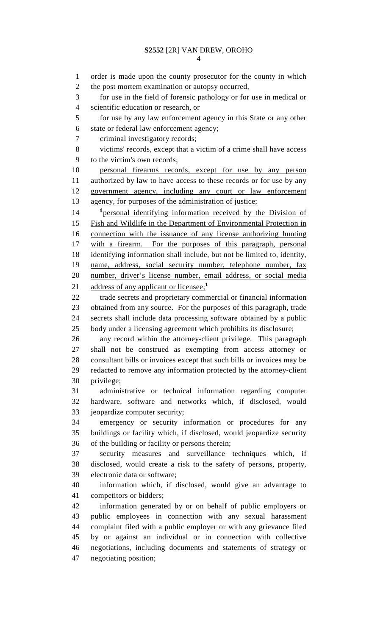#### **S2552** [2R] VAN DREW, OROHO

4

1 order is made upon the county prosecutor for the county in which 2 the post mortem examination or autopsy occurred, 3 for use in the field of forensic pathology or for use in medical or 4 scientific education or research, or 5 for use by any law enforcement agency in this State or any other 6 state or federal law enforcement agency; 7 criminal investigatory records; 8 victims' records, except that a victim of a crime shall have access 9 to the victim's own records; 10 personal firearms records, except for use by any person 11 authorized by law to have access to these records or for use by any 12 government agency, including any court or law enforcement 13 agency, for purposes of the administration of justice; 14 <sup>1</sup> <u>personal identifying information received by the Division of</u> 15 Fish and Wildlife in the Department of Environmental Protection in 16 connection with the issuance of any license authorizing hunting 17 with a firearm. For the purposes of this paragraph, personal 18 identifying information shall include, but not be limited to, identity, 19 name, address, social security number, telephone number, fax 20 number, driver's license number, email address, or social media 21 address of any applicant or licensee;<sup>1</sup> 22 trade secrets and proprietary commercial or financial information 23 obtained from any source. For the purposes of this paragraph, trade 24 secrets shall include data processing software obtained by a public 25 body under a licensing agreement which prohibits its disclosure; 26 any record within the attorney-client privilege. This paragraph 27 shall not be construed as exempting from access attorney or 28 consultant bills or invoices except that such bills or invoices may be 29 redacted to remove any information protected by the attorney-client 30 privilege; 31 administrative or technical information regarding computer 32 hardware, software and networks which, if disclosed, would 33 jeopardize computer security; 34 emergency or security information or procedures for any 35 buildings or facility which, if disclosed, would jeopardize security 36 of the building or facility or persons therein; 37 security measures and surveillance techniques which, if 38 disclosed, would create a risk to the safety of persons, property, 39 electronic data or software; 40 information which, if disclosed, would give an advantage to 41 competitors or bidders; 42 information generated by or on behalf of public employers or 43 public employees in connection with any sexual harassment 44 complaint filed with a public employer or with any grievance filed 45 by or against an individual or in connection with collective 46 negotiations, including documents and statements of strategy or 47 negotiating position;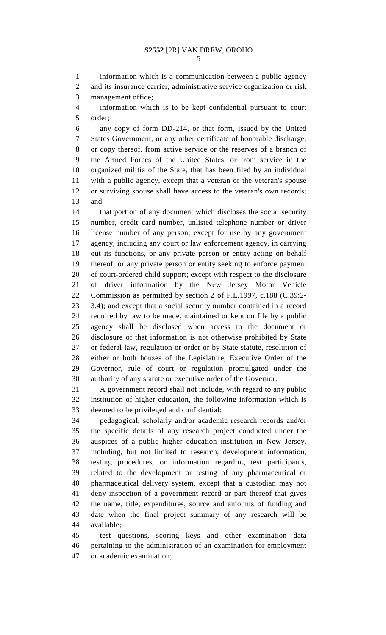1 information which is a communication between a public agency 2 and its insurance carrier, administrative service organization or risk 3 management office;

4 information which is to be kept confidential pursuant to court 5 order;

6 any copy of form DD-214, or that form, issued by the United 7 States Government, or any other certificate of honorable discharge, 8 or copy thereof, from active service or the reserves of a branch of 9 the Armed Forces of the United States, or from service in the 10 organized militia of the State, that has been filed by an individual 11 with a public agency, except that a veteran or the veteran's spouse 12 or surviving spouse shall have access to the veteran's own records; 13 and

14 that portion of any document which discloses the social security 15 number, credit card number, unlisted telephone number or driver 16 license number of any person; except for use by any government 17 agency, including any court or law enforcement agency, in carrying 18 out its functions, or any private person or entity acting on behalf 19 thereof, or any private person or entity seeking to enforce payment 20 of court-ordered child support; except with respect to the disclosure 21 of driver information by the New Jersey Motor Vehicle 22 Commission as permitted by section 2 of P.L.1997, c.188 (C.39:2- 23 3.4); and except that a social security number contained in a record 24 required by law to be made, maintained or kept on file by a public 25 agency shall be disclosed when access to the document or 26 disclosure of that information is not otherwise prohibited by State 27 or federal law, regulation or order or by State statute, resolution of 28 either or both houses of the Legislature, Executive Order of the 29 Governor, rule of court or regulation promulgated under the 30 authority of any statute or executive order of the Governor.

31 A government record shall not include, with regard to any public 32 institution of higher education, the following information which is 33 deemed to be privileged and confidential:

34 pedagogical, scholarly and/or academic research records and/or 35 the specific details of any research project conducted under the 36 auspices of a public higher education institution in New Jersey, 37 including, but not limited to research, development information, 38 testing procedures, or information regarding test participants, 39 related to the development or testing of any pharmaceutical or 40 pharmaceutical delivery system, except that a custodian may not 41 deny inspection of a government record or part thereof that gives 42 the name, title, expenditures, source and amounts of funding and 43 date when the final project summary of any research will be 44 available;

45 test questions, scoring keys and other examination data 46 pertaining to the administration of an examination for employment 47 or academic examination;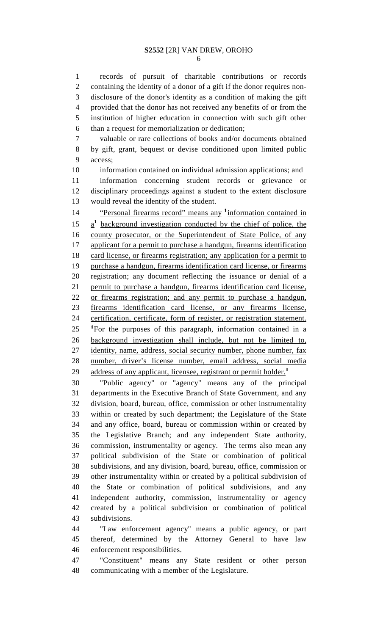1 records of pursuit of charitable contributions or records 2 containing the identity of a donor of a gift if the donor requires non-3 disclosure of the donor's identity as a condition of making the gift 4 provided that the donor has not received any benefits of or from the 5 institution of higher education in connection with such gift other 6 than a request for memorialization or dedication;

7 valuable or rare collections of books and/or documents obtained 8 by gift, grant, bequest or devise conditioned upon limited public 9 access;

10 information contained on individual admission applications; and 11 information concerning student records or grievance or 12 disciplinary proceedings against a student to the extent disclosure 13 would reveal the identity of the student.

<sup>1</sup>4 **Personal firearms record**" means any <sup>1</sup> information contained in  $15 \frac{a^1}{2}$  background investigation conducted by the chief of police, the 16 county prosecutor, or the Superintendent of State Police, of any 17 applicant for a permit to purchase a handgun, firearms identification 18 card license, or firearms registration; any application for a permit to 19 purchase a handgun, firearms identification card license, or firearms 20 registration; any document reflecting the issuance or denial of a 21 permit to purchase a handgun, firearms identification card license, 22 or firearms registration; and any permit to purchase a handgun, 23 firearms identification card license, or any firearms license, 24 certification, certificate, form of register, or registration statement.  $125$  <sup>1</sup>For the purposes of this paragraph, information contained in a 26 background investigation shall include, but not be limited to, 27 identity, name, address, social security number, phone number, fax 28 number, driver's license number, email address, social media 29 address of any applicant, licensee, registrant or permit holder.<sup>1</sup>

30 "Public agency" or "agency" means any of the principal 31 departments in the Executive Branch of State Government, and any 32 division, board, bureau, office, commission or other instrumentality 33 within or created by such department; the Legislature of the State 34 and any office, board, bureau or commission within or created by 35 the Legislative Branch; and any independent State authority, 36 commission, instrumentality or agency. The terms also mean any 37 political subdivision of the State or combination of political 38 subdivisions, and any division, board, bureau, office, commission or 39 other instrumentality within or created by a political subdivision of 40 the State or combination of political subdivisions, and any 41 independent authority, commission, instrumentality or agency 42 created by a political subdivision or combination of political 43 subdivisions.

44 "Law enforcement agency" means a public agency, or part 45 thereof, determined by the Attorney General to have law 46 enforcement responsibilities.

47 "Constituent" means any State resident or other person 48 communicating with a member of the Legislature.